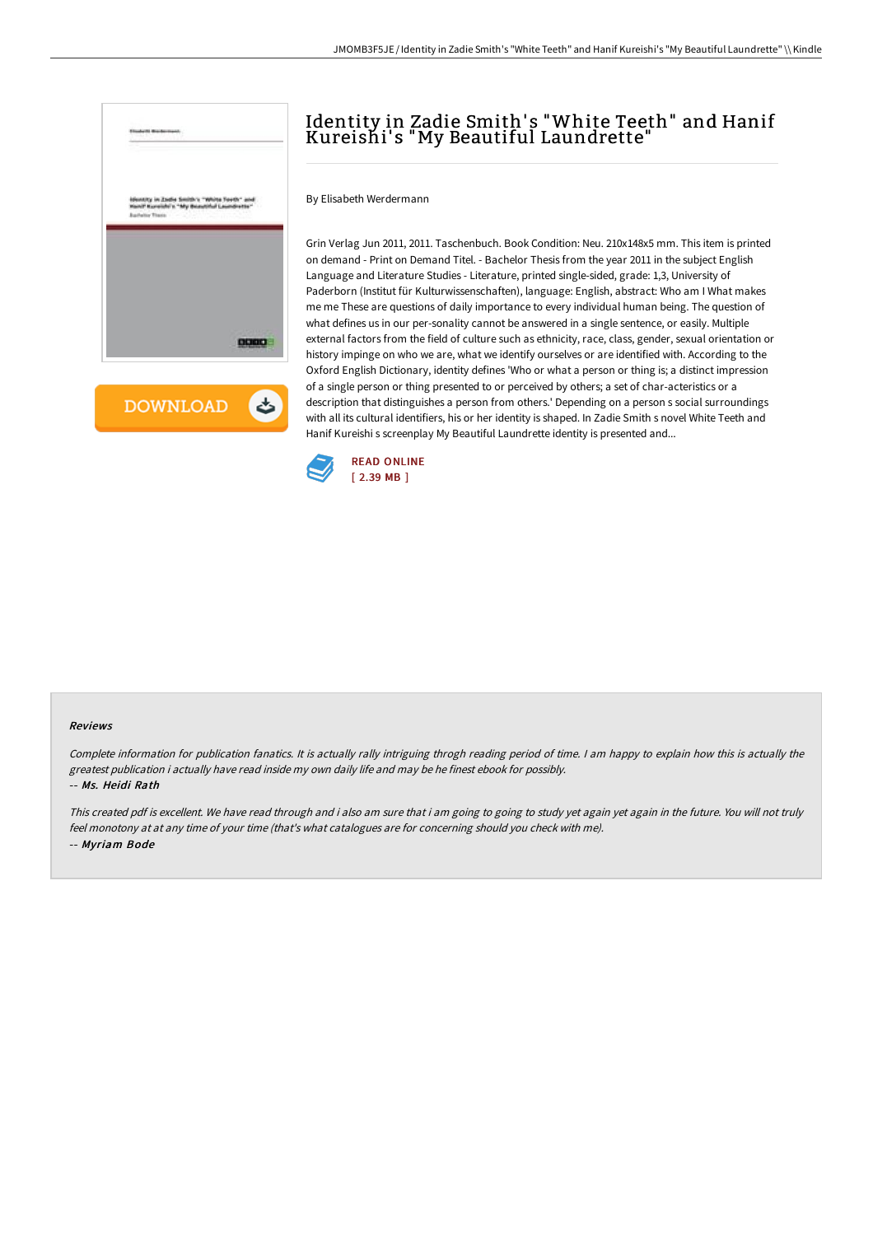

**DOWNLOAD** ٹ

# Identity in Zadie Smith' s "White Teeth" and Hanif Kureishi's "My Beautiful Laundrette"

By Elisabeth Werdermann

Grin Verlag Jun 2011, 2011. Taschenbuch. Book Condition: Neu. 210x148x5 mm. This item is printed on demand - Print on Demand Titel. - Bachelor Thesis from the year 2011 in the subject English Language and Literature Studies - Literature, printed single-sided, grade: 1,3, University of Paderborn (Institut für Kulturwissenschaften), language: English, abstract: Who am I What makes me me These are questions of daily importance to every individual human being. The question of what defines us in our per-sonality cannot be answered in a single sentence, or easily. Multiple external factors from the field of culture such as ethnicity, race, class, gender, sexual orientation or history impinge on who we are, what we identify ourselves or are identified with. According to the Oxford English Dictionary, identity defines 'Who or what a person or thing is; a distinct impression of a single person or thing presented to or perceived by others; a set of char-acteristics or a description that distinguishes a person from others.' Depending on a person s social surroundings with all its cultural identifiers, his or her identity is shaped. In Zadie Smith s novel White Teeth and Hanif Kureishi s screenplay My Beautiful Laundrette identity is presented and...



#### Reviews

Complete information for publication fanatics. It is actually rally intriguing throgh reading period of time. <sup>I</sup> am happy to explain how this is actually the greatest publication i actually have read inside my own daily life and may be he finest ebook for possibly. -- Ms. Heidi Rath

This created pdf is excellent. We have read through and i also am sure that i am going to going to study yet again yet again in the future. You will not truly feel monotony at at any time of your time (that's what catalogues are for concerning should you check with me). -- Myriam Bode